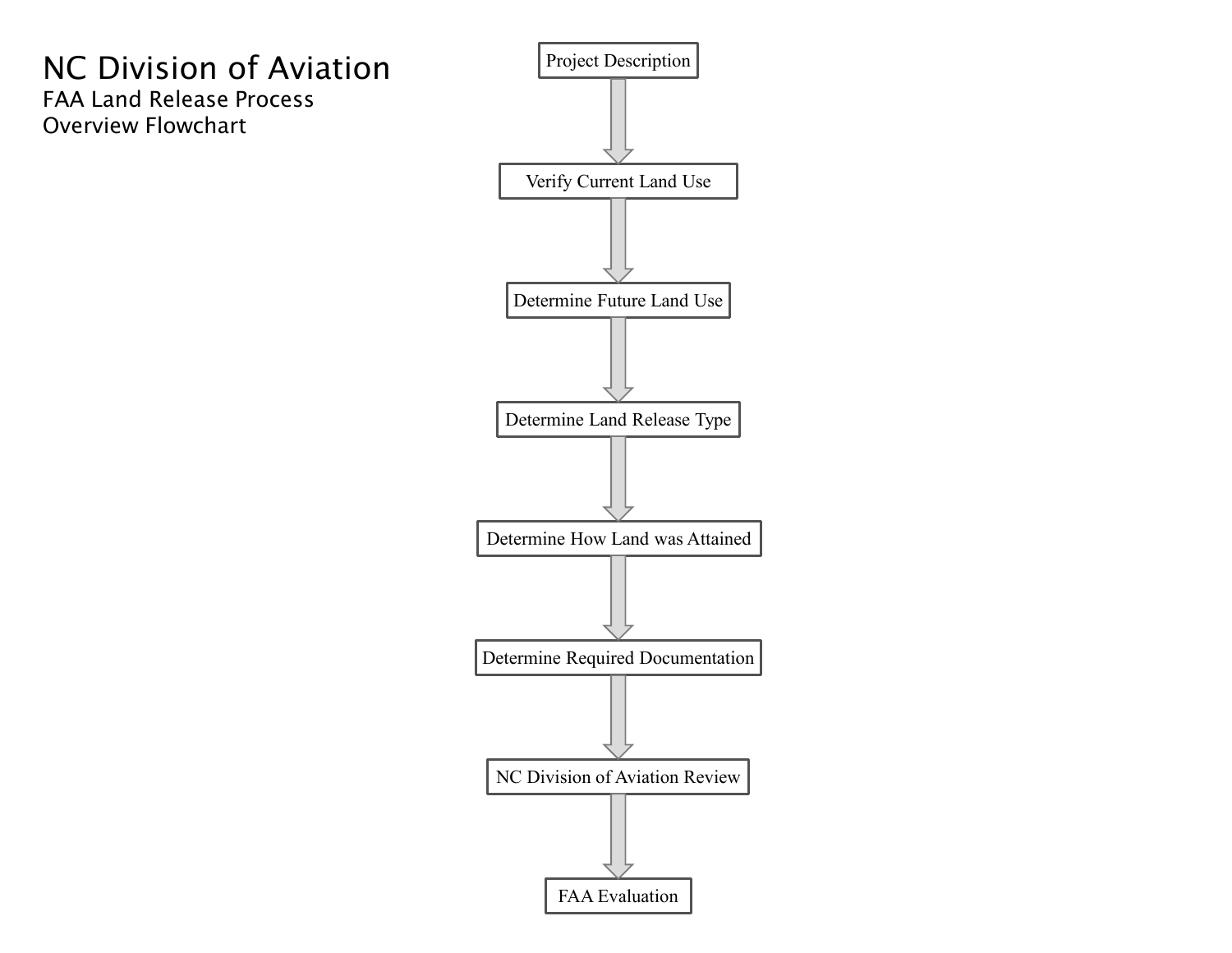# NC Division of Aviation FAA Land Release Process Overview Flowchart

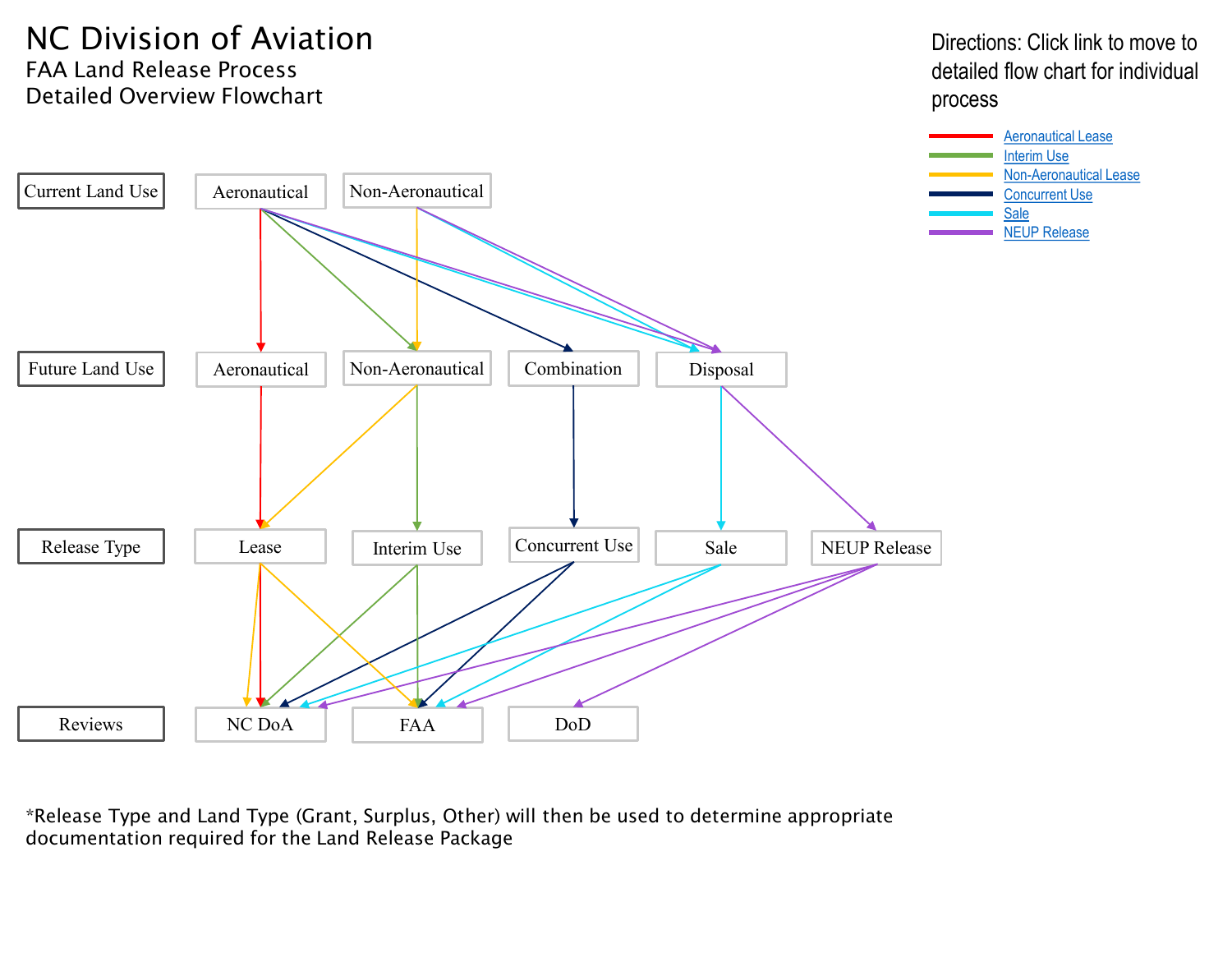## NC Division of Aviation FAA Land Release Process Detailed Overview Flowchart

Directions: Click link to move to detailed flow chart for individual process



\*Release Type and Land Type (Grant, Surplus, Other) will then be used to determine appropriate documentation required for the Land Release Package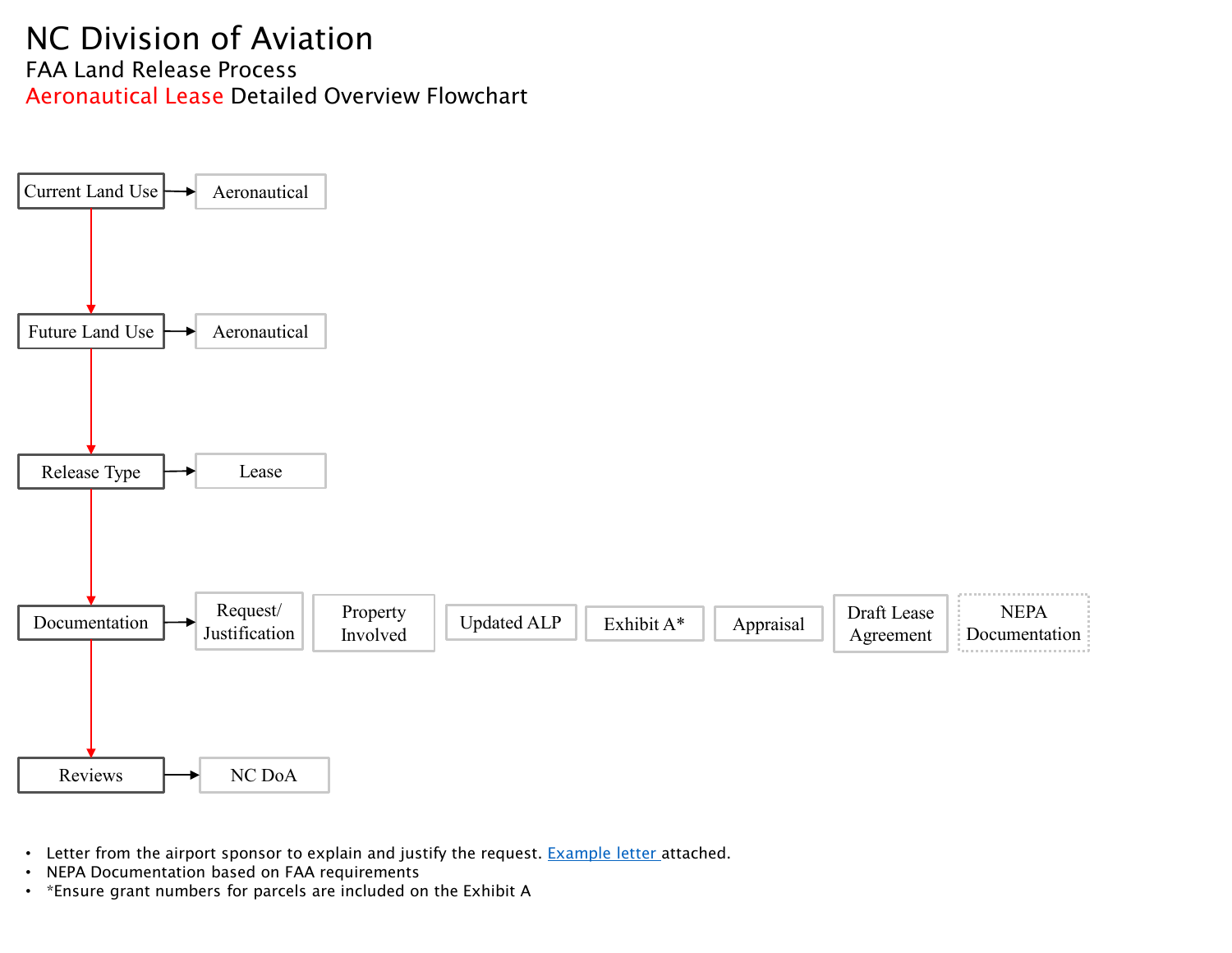## <span id="page-2-0"></span>NC Division of Aviation FAA Land Release Process Aeronautical Lease Detailed Overview Flowchart



- Letter from the airport sponsor to explain and justify the request. [Example letter](#page-11-0) attached.
- NEPA Documentation based on FAA requirements
- \*Ensure grant numbers for parcels are included on the Exhibit A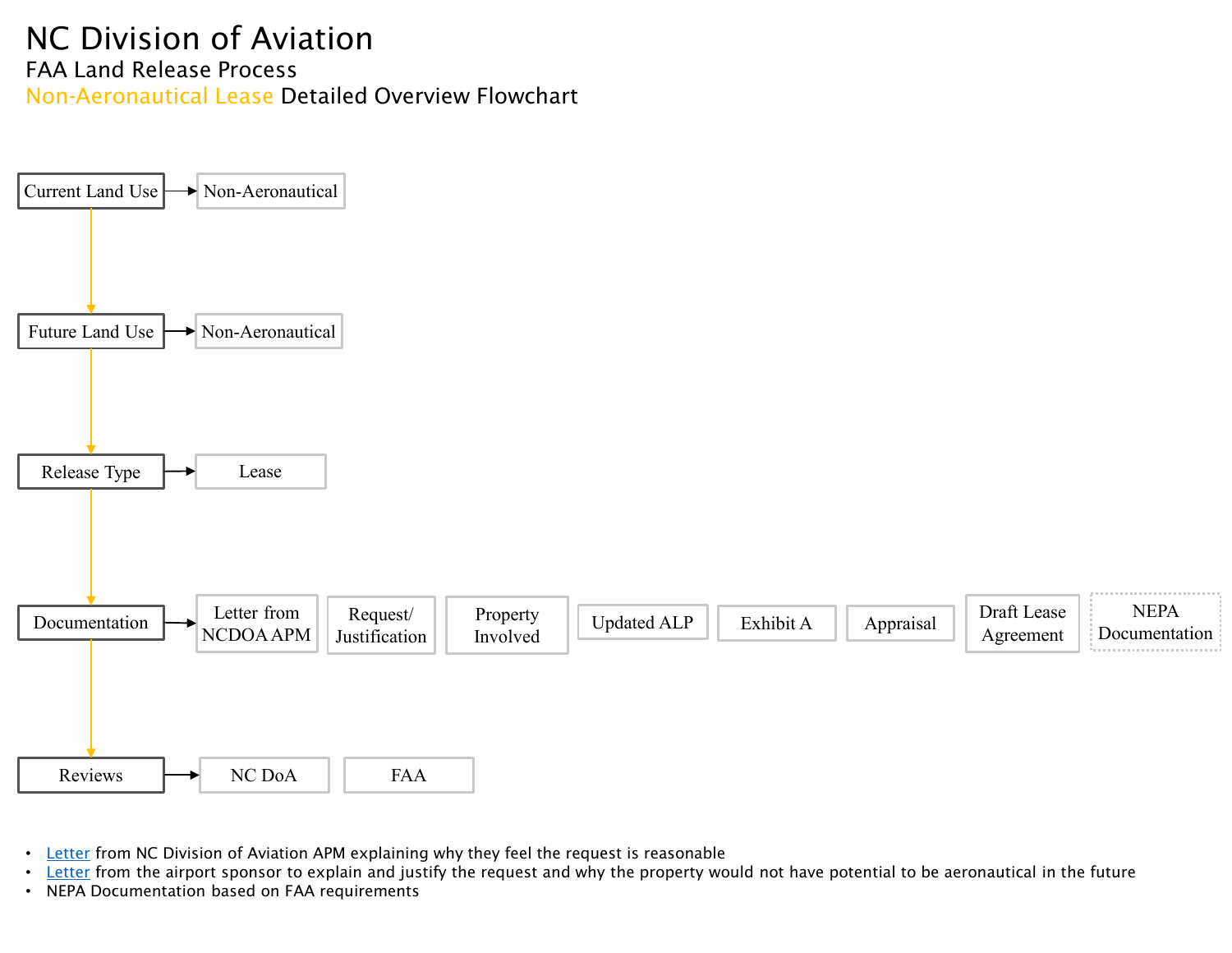#### <span id="page-3-0"></span>NC Division of Aviation FAA Land Release Process Non-Aeronautical Lease Detailed Overview Flowchart



- [Letter](#page-10-0) from NC Division of Aviation APM explaining why they feel the request is reasonable
- [Letter](#page-11-0) from the airport sponsor to explain and justify the request and why the property would not have potential to be aeronautical in the future
- NEPA Documentation based on FAA requirements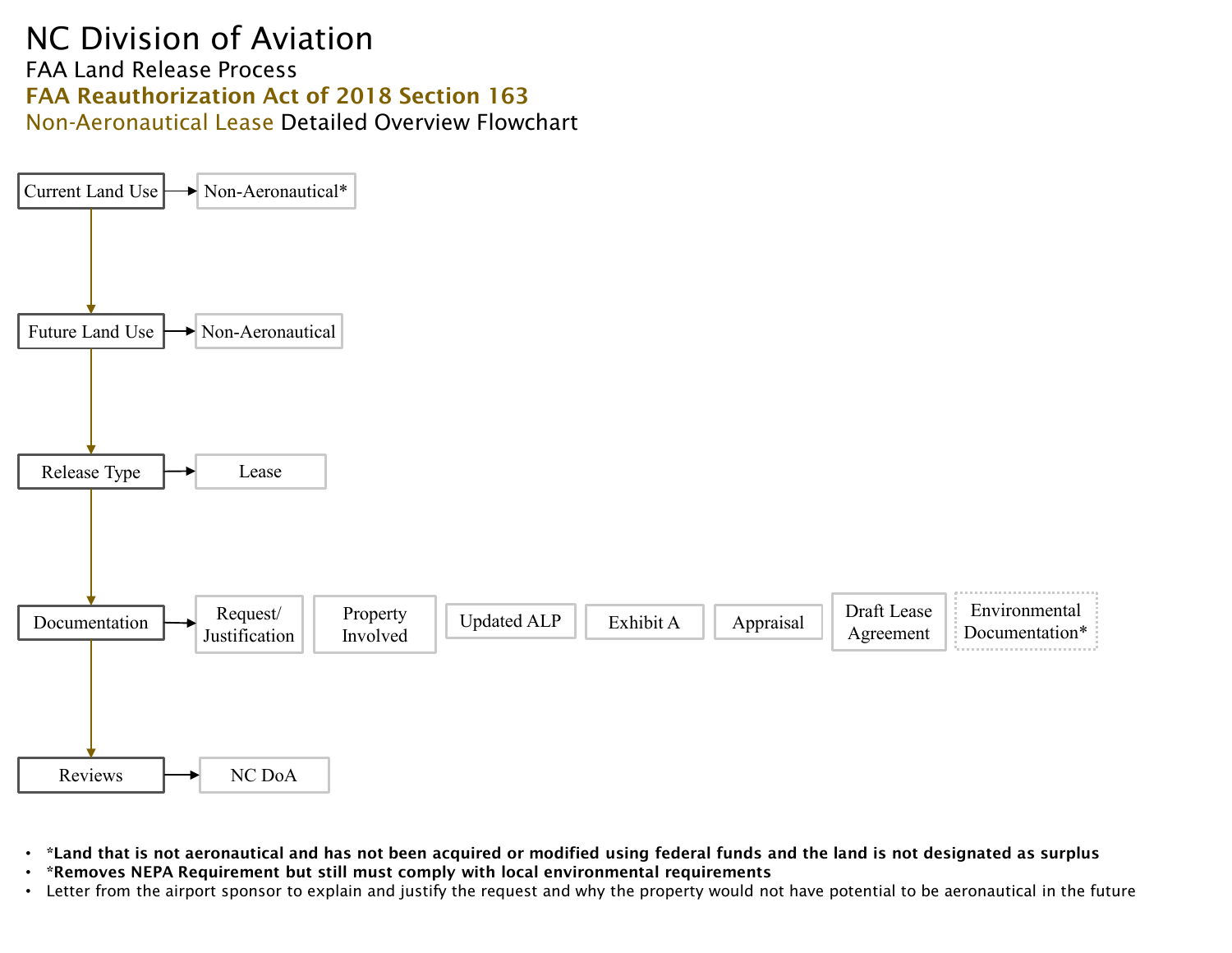#### NC Division of Aviation FAA Land Release Process FAA Reauthorization Act of 2018 Section 163 Non-Aeronautical Lease Detailed Overview Flowchart



- \*Land that is not aeronautical and has not been acquired or modified using federal funds and the land is not designated as surplus
- \*Removes NEPA Requirement but still must comply with local environmental requirements
- Letter from the airport sponsor to explain and justify the request and why the property would not have potential to be aeronautical in the future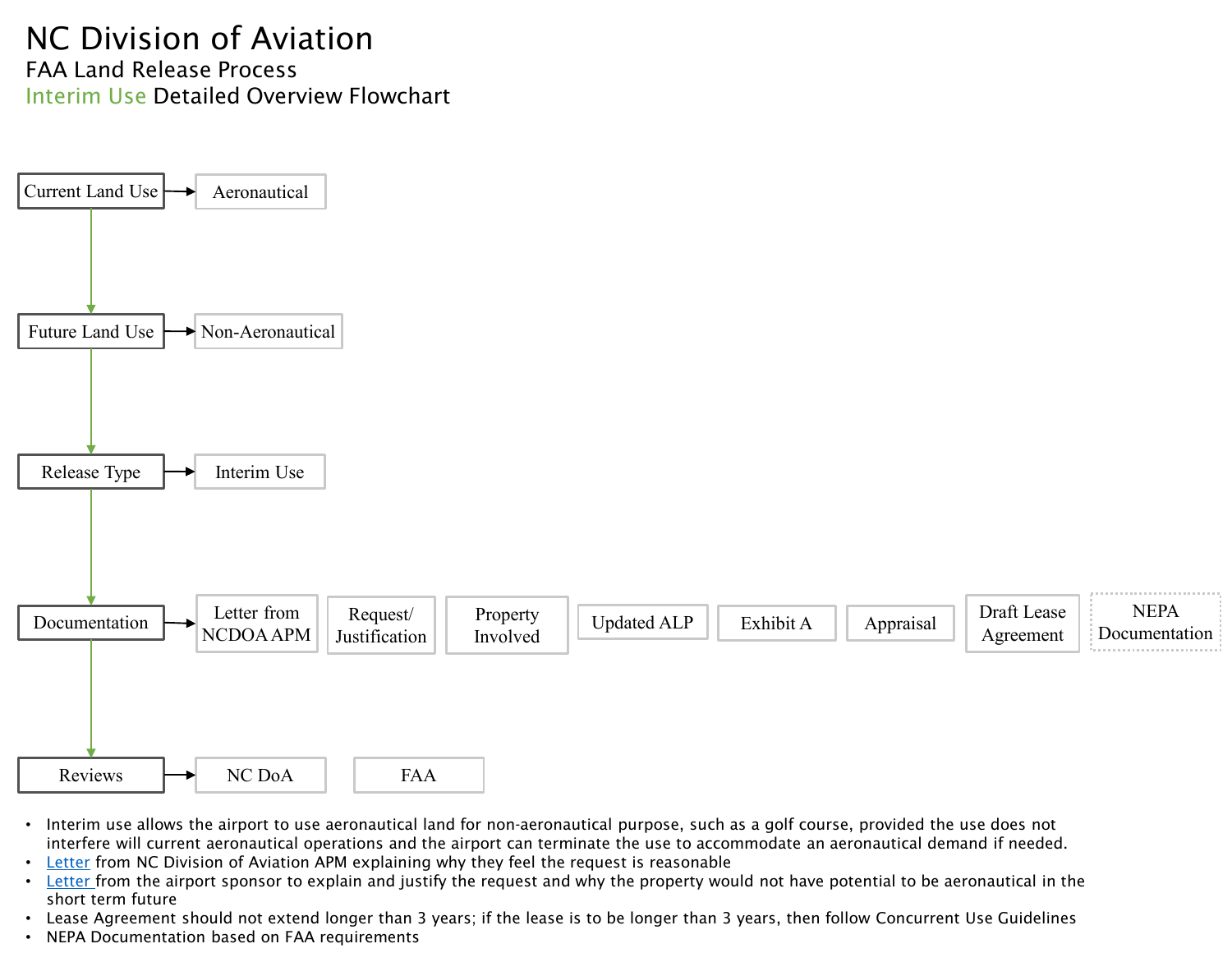## <span id="page-5-0"></span>NC Division of Aviation FAA Land Release Process Interim Use Detailed Overview Flowchart



- Interim use allows the airport to use aeronautical land for non-aeronautical purpose, such as a golf course, provided the use does not interfere will current aeronautical operations and the airport can terminate the use to accommodate an aeronautical demand if needed.
- [Letter](#page-10-0) from NC Division of Aviation APM explaining why they feel the request is reasonable
- [Letter](#page-11-0) from the airport sponsor to explain and justify the request and why the property would not have potential to be aeronautical in the short term future
- Lease Agreement should not extend longer than 3 years; if the lease is to be longer than 3 years, then follow Concurrent Use Guidelines
- NEPA Documentation based on FAA requirements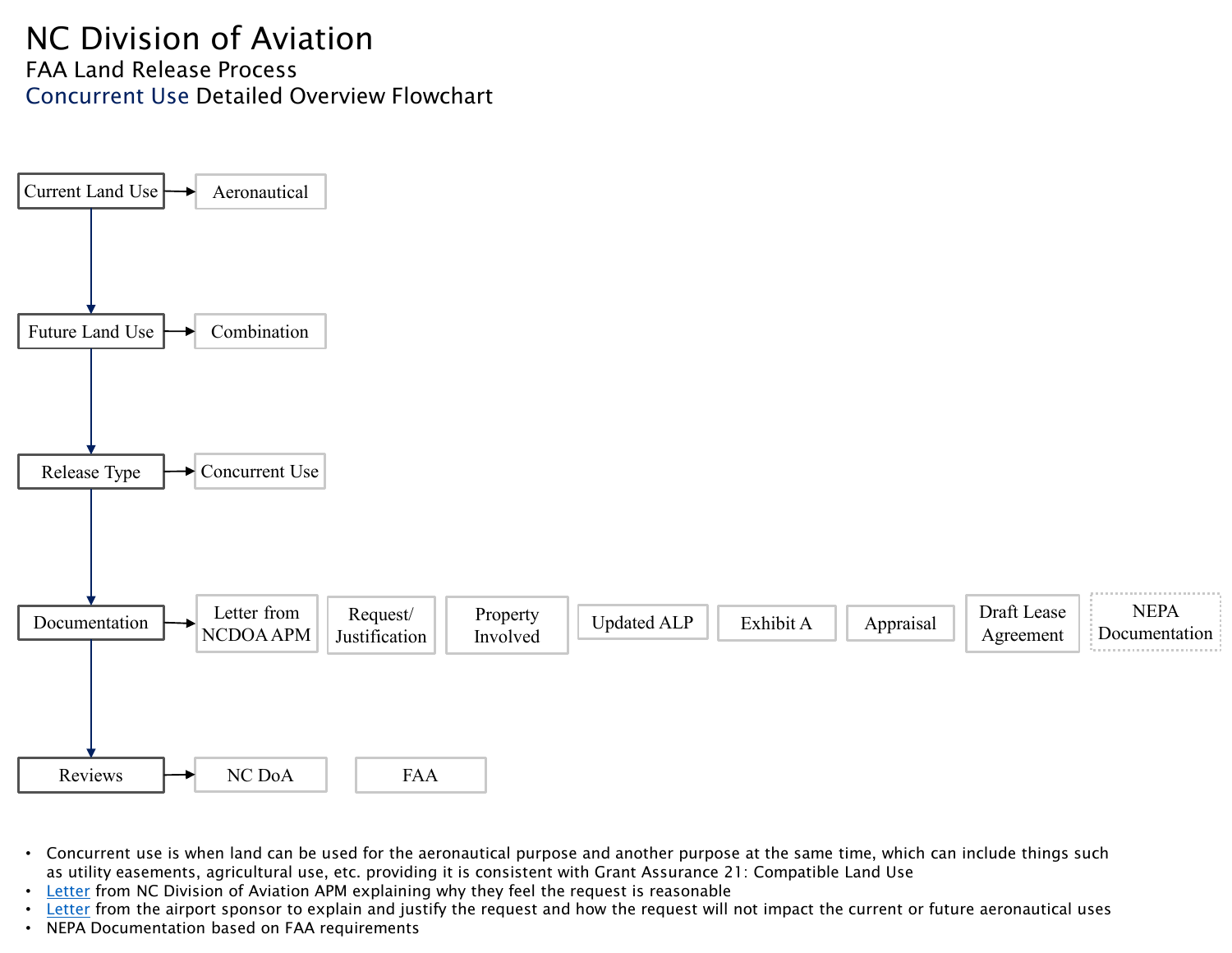## <span id="page-6-0"></span>NC Division of Aviation FAA Land Release Process Concurrent Use Detailed Overview Flowchart



- Concurrent use is when land can be used for the aeronautical purpose and another purpose at the same time, which can include things such as utility easements, agricultural use, etc. providing it is consistent with Grant Assurance 21: Compatible Land Use
- [Letter](#page-10-0) from NC Division of Aviation APM explaining why they feel the request is reasonable
- [Letter](#page-11-0) from the airport sponsor to explain and justify the request and how the request will not impact the current or future aeronautical uses
- NEPA Documentation based on FAA requirements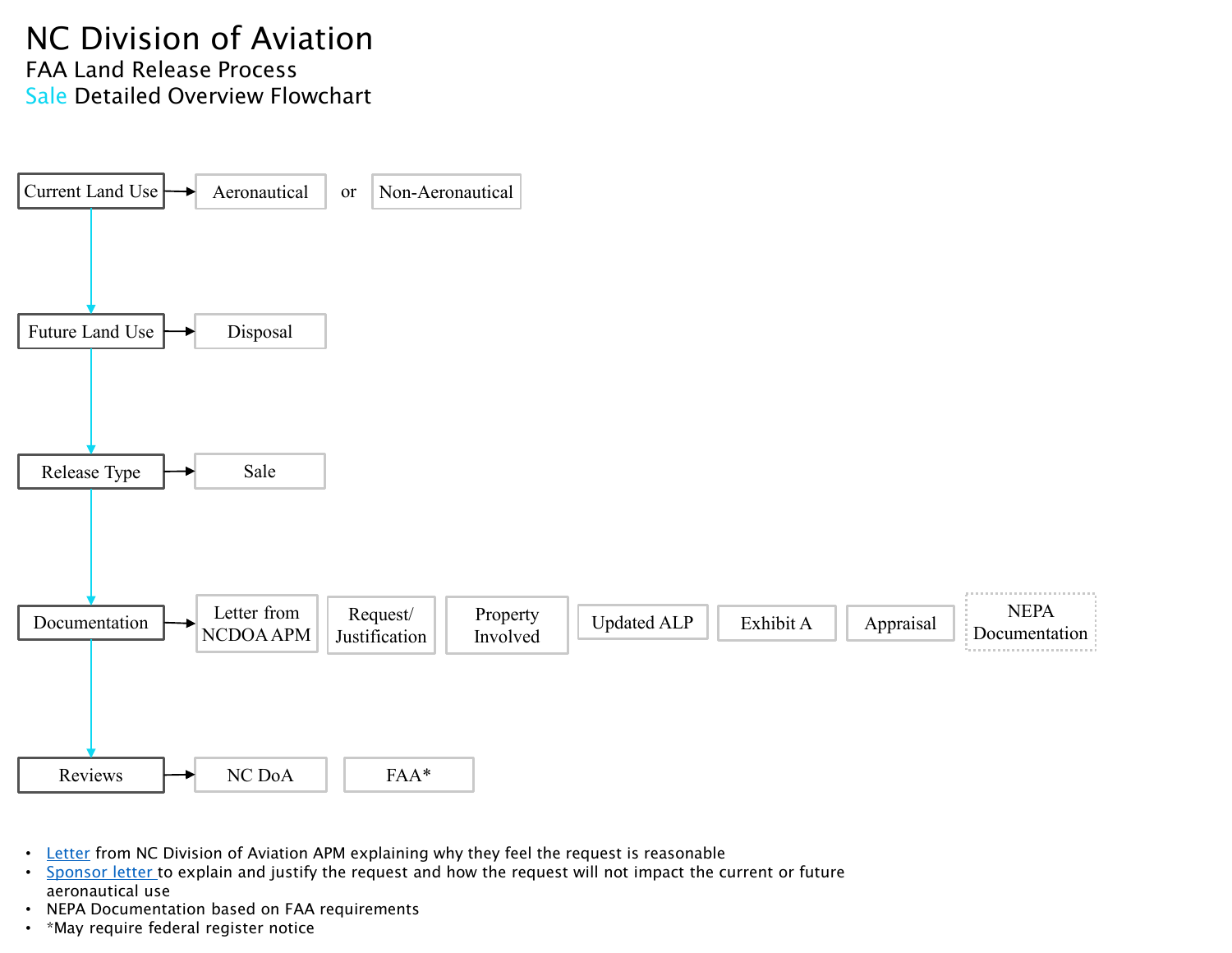## <span id="page-7-0"></span>NC Division of Aviation FAA Land Release Process Sale Detailed Overview Flowchart



- [Letter](#page-10-0) from NC Division of Aviation APM explaining why they feel the request is reasonable
- [Sponsor letter](#page-11-0) to explain and justify the request and how the request will not impact the current or future aeronautical use
- NEPA Documentation based on FAA requirements
- \*May require federal register notice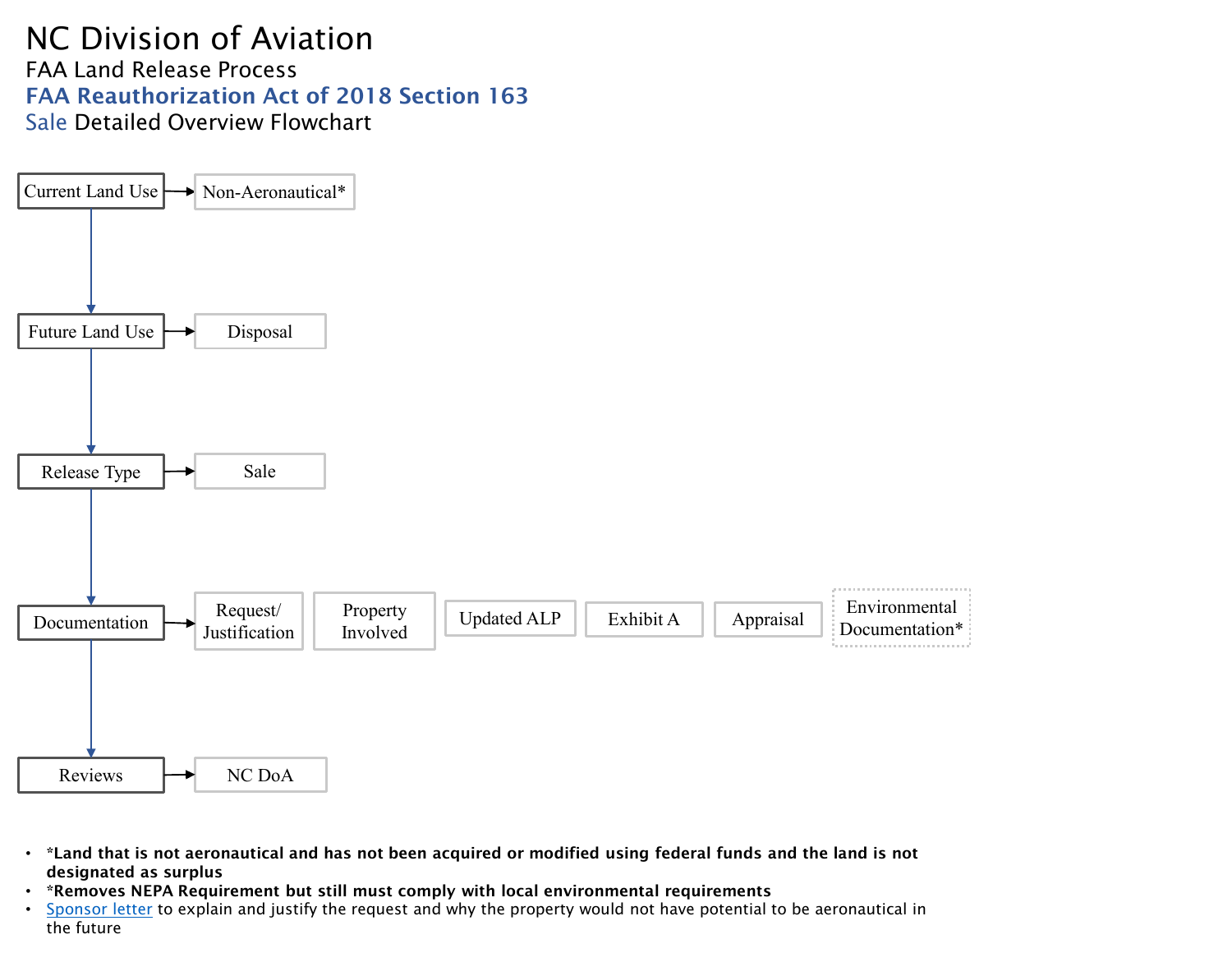#### NC Division of Aviation FAA Land Release Process FAA Reauthorization Act of 2018 Section 163 Sale Detailed Overview Flowchart



- \*Land that is not aeronautical and has not been acquired or modified using federal funds and the land is not designated as surplus
- \*Removes NEPA Requirement but still must comply with local environmental requirements
- [Sponsor letter](#page-11-0) to explain and justify the request and why the property would not have potential to be aeronautical in the future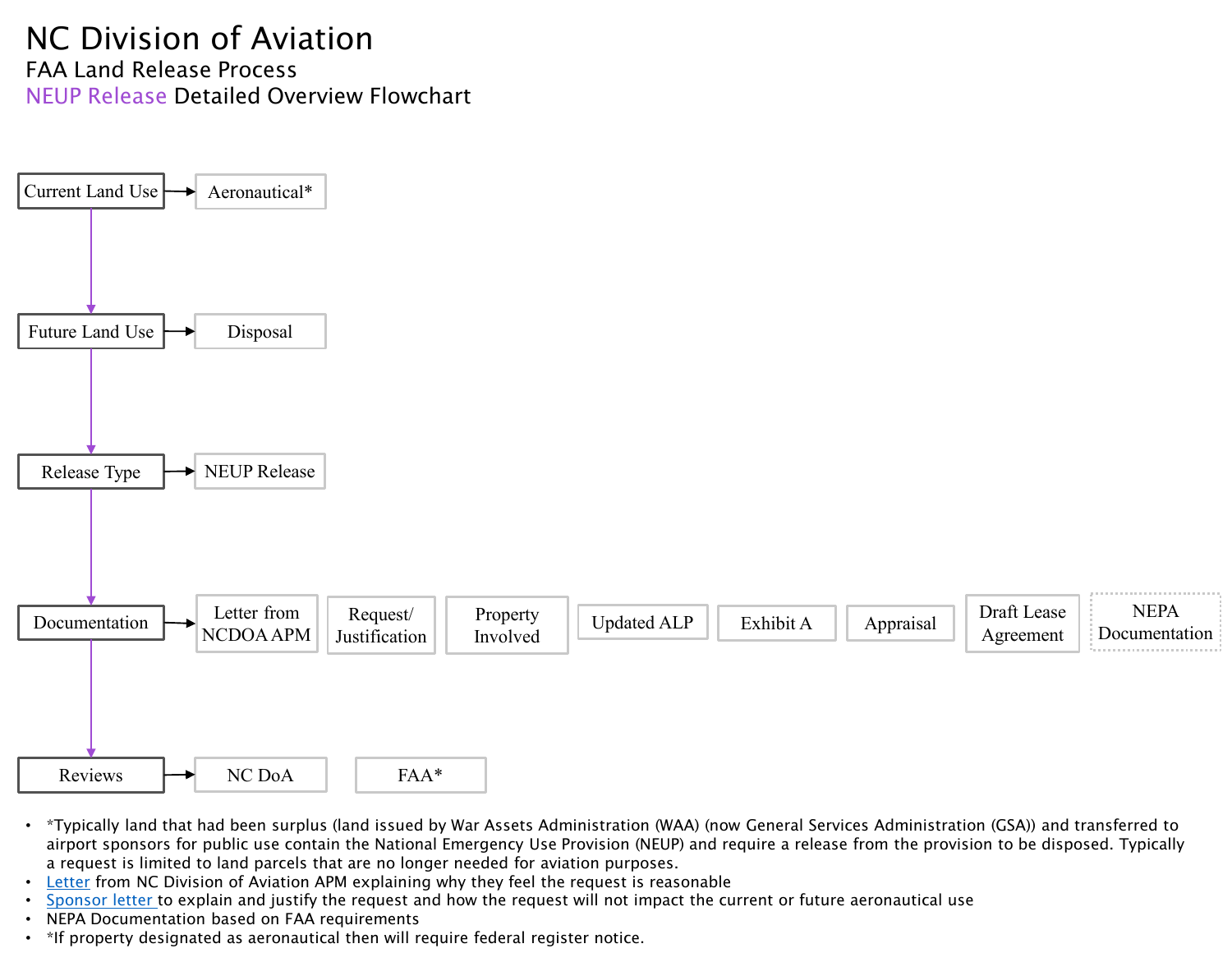## <span id="page-9-0"></span>NC Division of Aviation FAA Land Release Process NEUP Release Detailed Overview Flowchart



- \*Typically land that had been surplus (land issued by War Assets Administration (WAA) (now General Services Administration (GSA)) and transferred to airport sponsors for public use contain the National Emergency Use Provision (NEUP) and require a release from the provision to be disposed. Typically a request is limited to land parcels that are no longer needed for aviation purposes.
- [Letter](#page-10-0) from NC Division of Aviation APM explaining why they feel the request is reasonable
- [Sponsor letter](#page-11-0) to explain and justify the request and how the request will not impact the current or future aeronautical use
- NEPA Documentation based on FAA requirements
- \*If property designated as aeronautical then will require federal register notice.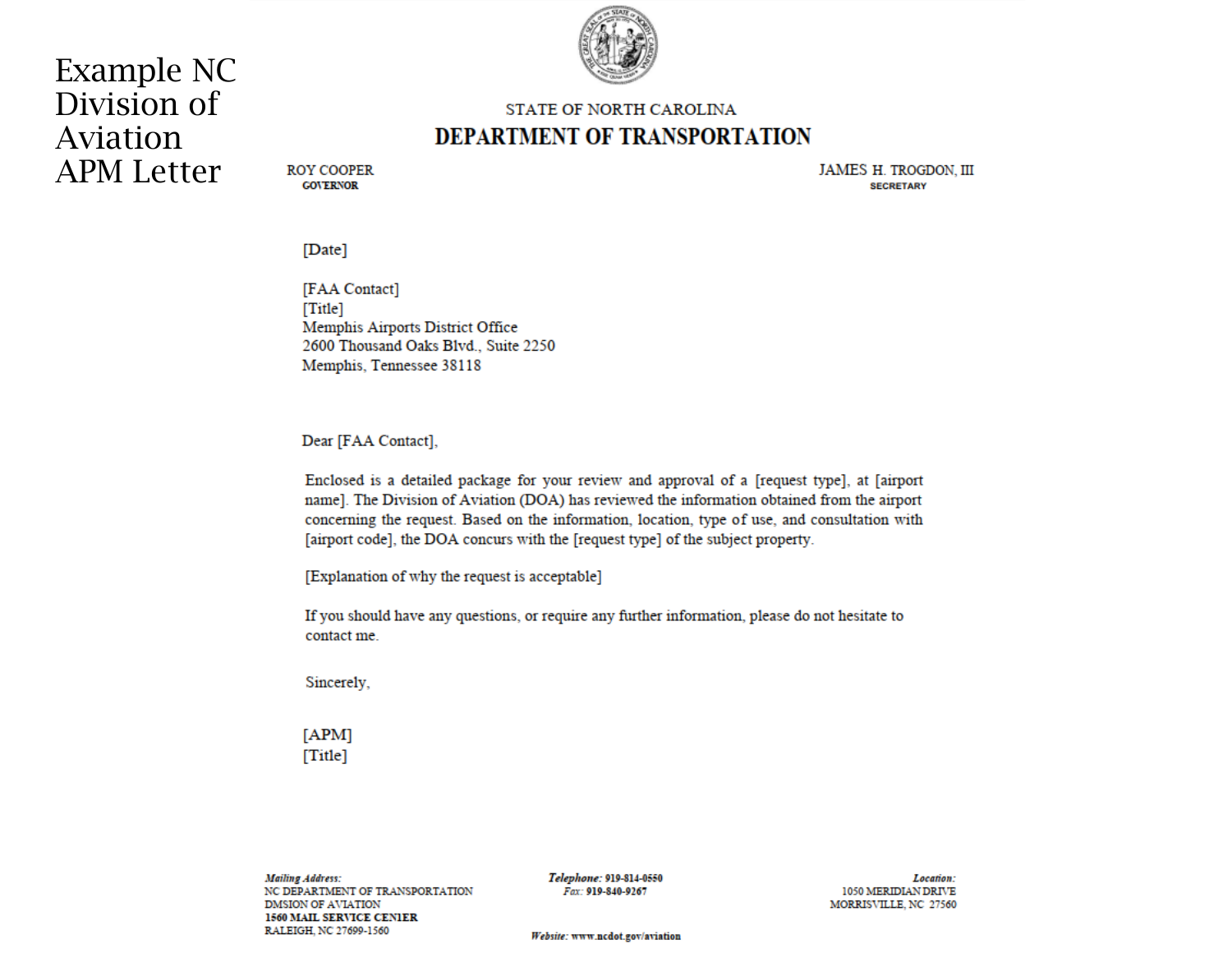# <span id="page-10-0"></span>**Example NC** Division of Aviation **APM Letter**



#### **STATE OF NORTH CAROLINA DEPARTMENT OF TRANSPORTATION**

**ROY COOPER GOVERNOR** 

**JAMES H. TROGDON. III SECRETARY** 

[Date]

[FAA Contact]  $[Title]$ Memphis Airports District Office 2600 Thousand Oaks Blvd., Suite 2250 Memphis, Tennessee 38118

Dear [FAA Contact],

Enclosed is a detailed package for your review and approval of a [request type], at [airport name]. The Division of Aviation (DOA) has reviewed the information obtained from the airport concerning the request. Based on the information, location, type of use, and consultation with [airport code], the DOA concurs with the [request type] of the subject property.

[Explanation of why the request is acceptable]

If you should have any questions, or require any further information, please do not hesitate to contact me.

Sincerely,

 $[APM]$  $[Title]$ 

**Mailing Address:** NC DEPARTMENT OF TRANSPORTATION DMSION OF AVIATION **1560 MAIL SERVICE CENIER** RALEIGH, NC 27699-1560

Telephone: 919-814-0550 Fax: 919-840-9267

Location: 1050 MERIDIAN DRIVE MORRISVILLE, NC 27560

Website: www.ncdot.gov/aviation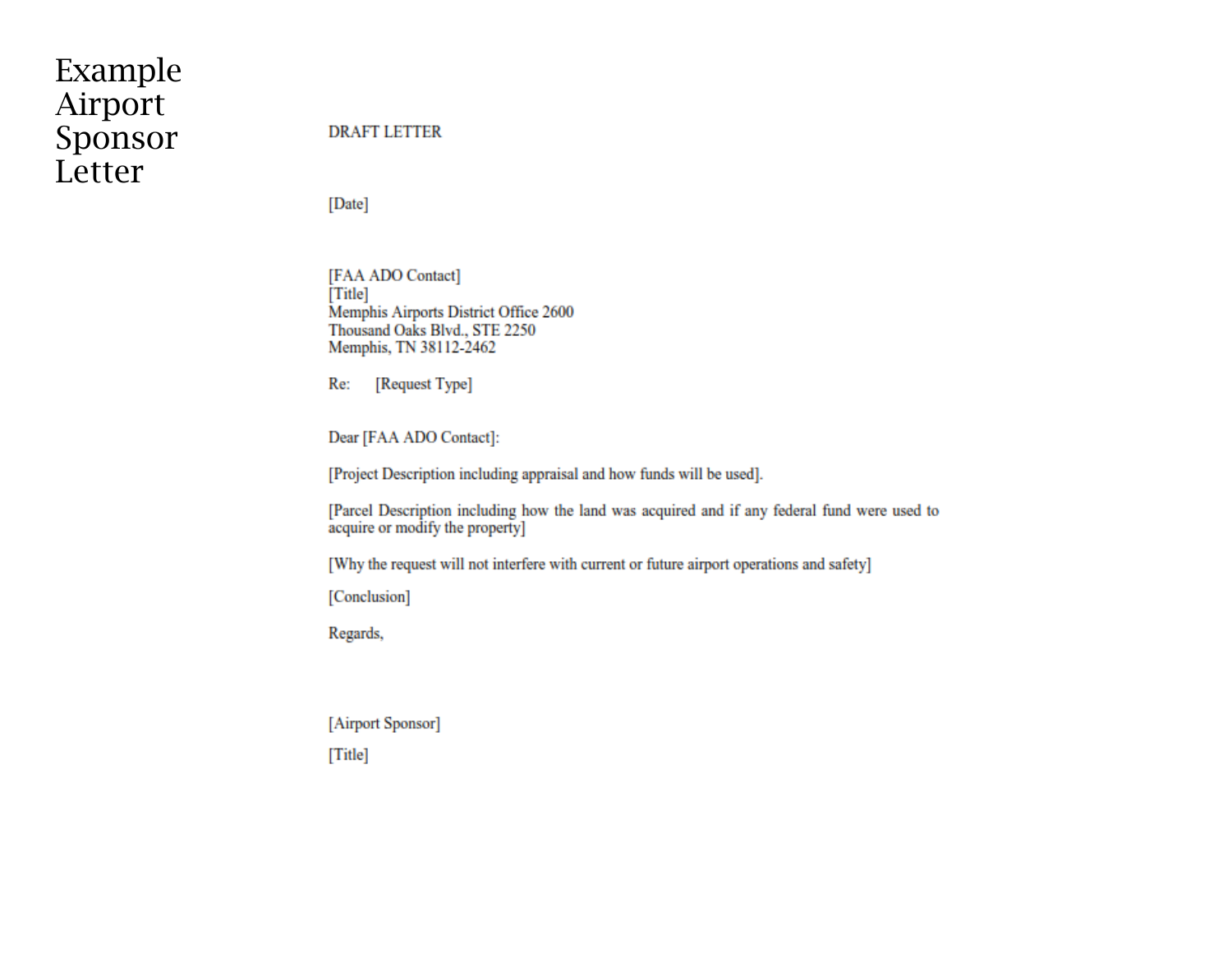# <span id="page-11-0"></span>Example Airport Sponsor Letter

#### **DRAFT LETTER**

[Date]

[FAA ADO Contact] [Title] Memphis Airports District Office 2600 Thousand Oaks Blvd., STE 2250 Memphis, TN 38112-2462

Re: [Request Type]

Dear [FAA ADO Contact]:

[Project Description including appraisal and how funds will be used].

[Parcel Description including how the land was acquired and if any federal fund were used to acquire or modify the property]

[Why the request will not interfere with current or future airport operations and safety]

[Conclusion]

Regards,

[Airport Sponsor]

[Title]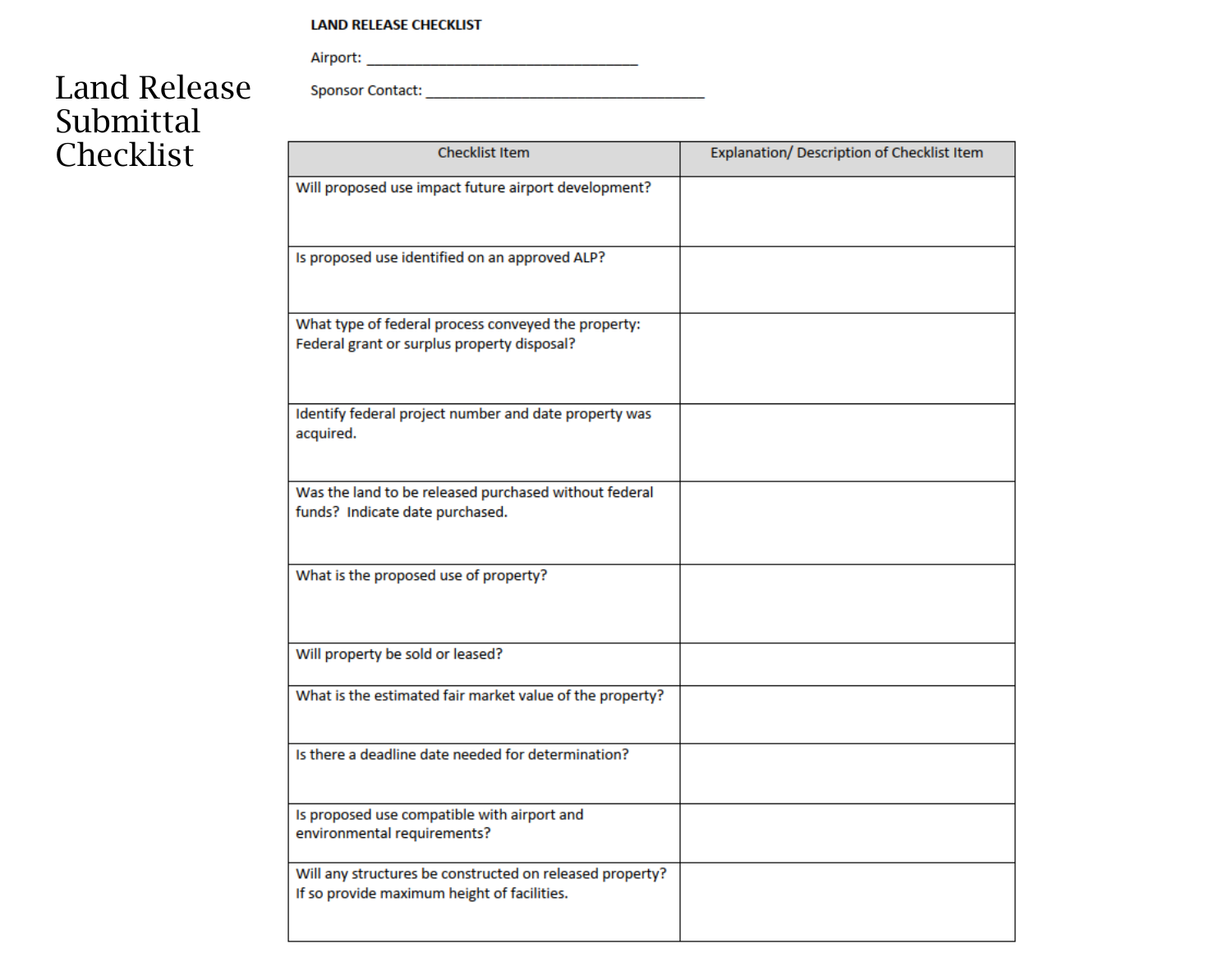#### **LAND RELEASE CHECKLIST**

# Land Release Submittal Checklist

| <b>Checklist Item</b>                                                                                   | Explanation/ Description of Checklist Item |
|---------------------------------------------------------------------------------------------------------|--------------------------------------------|
| Will proposed use impact future airport development?                                                    |                                            |
| Is proposed use identified on an approved ALP?                                                          |                                            |
| What type of federal process conveyed the property:<br>Federal grant or surplus property disposal?      |                                            |
| Identify federal project number and date property was<br>acquired.                                      |                                            |
| Was the land to be released purchased without federal<br>funds? Indicate date purchased.                |                                            |
| What is the proposed use of property?                                                                   |                                            |
| Will property be sold or leased?                                                                        |                                            |
| What is the estimated fair market value of the property?                                                |                                            |
| Is there a deadline date needed for determination?                                                      |                                            |
| Is proposed use compatible with airport and<br>environmental requirements?                              |                                            |
| Will any structures be constructed on released property?<br>If so provide maximum height of facilities. |                                            |